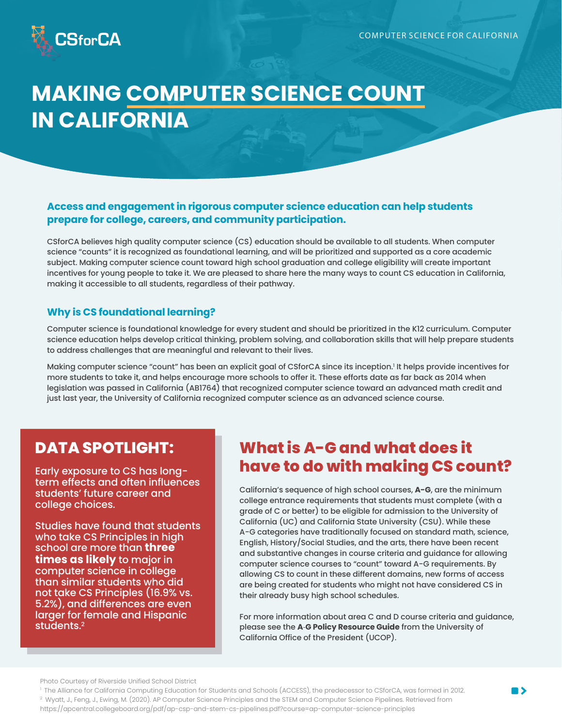

## **MAKING COMPUTER SCIENCE COUNT IN CALIFORNIA**

#### Access and engagement in rigorous computer science education can help students prepare for college, careers, and community participation.

CSforCA believes high quality computer science (CS) education should be available to all students. When computer science "counts" it is recognized as foundational learning, and will be prioritized and supported as a core academic subject. Making computer science count toward high school graduation and college eligibility will create important incentives for young people to take it. We are pleased to share here the many ways to count CS education in California, making it accessible to all students, regardless of their pathway.

#### **Why is CS foundational learning?**

Computer science is foundational knowledge for every student and should be prioritized in the K12 curriculum. Computer science education helps develop critical thinking, problem solving, and collaboration skills that will help prepare students to address challenges that are meaningful and relevant to their lives.

Making computer science "count" has been an explicit goal of CSforCA since its inception.<sup>1</sup> It helps provide incentives for more students to take it, and helps encourage more schools to offer it. These efforts date as far back as 2014 when legislation was passed in California (AB1764) that recognized computer science toward an advanced math credit and just last year, the University of California recognized computer science as an advanced science course.

#### **DATA SPOTLIGHT:**

Early exposure to CS has longterm effects and often influences students' future career and college choices.

Studies have found that students who take CS Principles in high school are more than **three times as likely** to major in computer science in college than similar students who did not take CS Principles (16.9% vs. 5.2%), and differences are even larger for female and Hispanic students. $2$ 

### **What is A-G and what does it** have to do with making CS count?

California's sequence of high school courses, A-G, are the minimum college entrance requirements that students must complete (with a grade of C or better) to be eligible for admission to the University of California (UC) and California State University (CSU). While these A-G categories have traditionally focused on standard math, science, English, History/Social Studies, and the arts, there have been recent and substantive changes in course criteria and guidance for allowing computer science courses to "count" toward A-G requirements. By allowing CS to count in these different domains, new forms of access are being created for students who might not have considered CS in their already busy high school schedules.

For more information about area C and D course criteria and guidance, please see the A-G Policy Resource Guide from the University of California Office of the President (UCOP).

Photo Courtesy of Riverside Unified School District

<sup>&</sup>lt;sup>1</sup> The Alliance for California Computing Education for Students and Schools (ACCESS), the predecessor to CSforCA, was formed in 2012. <sup>2</sup> Wyatt, J., Feng, J., Ewing, M. (2020). AP Computer Science Principles and the STEM and Computer Science Pipelines. Retrieved from https://apcentral.collegeboard.org/pdf/ap-csp-and-stem-cs-pipelines.pdf?course=ap-computer-science-principles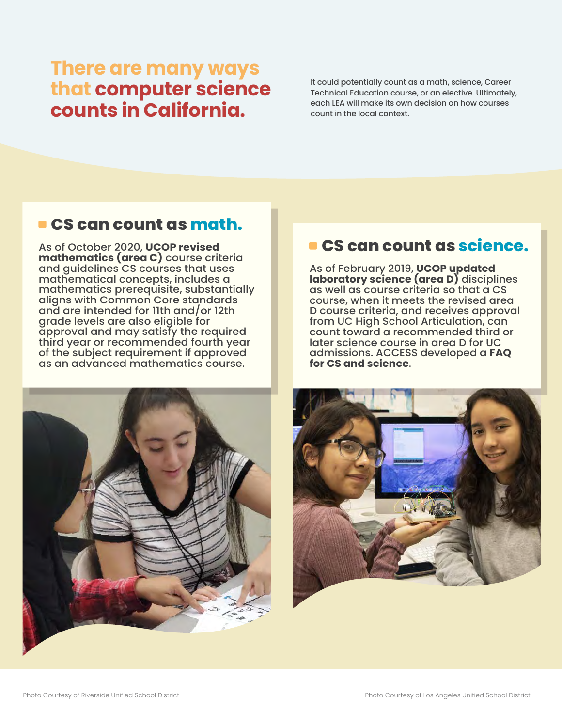# There are many ways<br>that computer science<br>counts in California.

It could potentially count as a math, science, Career Technical Education course, or an elective, Ultimately, each LEA will make its own decision on how courses count in the local context.

#### **CS can count as math.**

As of October 2020, UCOP revised mathematics (area C) course criteria and quidelines CS courses that uses mathematical concepts, includes a mathematics prerequisite, substantially aligns with Common Core standards and are intended for 11th and/or 12th grade levels are also eligible for approval and may satisfy the required third year or recommended fourth year of the subject requirement if approved as an advanced mathematics course.



## CS can count as science.

As of February 2019, UCOP updated laboratory science (area D) disciplines as well as course criteria so that a CS course, when it meets the revised area D course criteria, and receives approval from UC High School Articulation, can count toward a recommended third or later science course in area D for UC admissions. ACCESS developed a FAQ for CS and science.

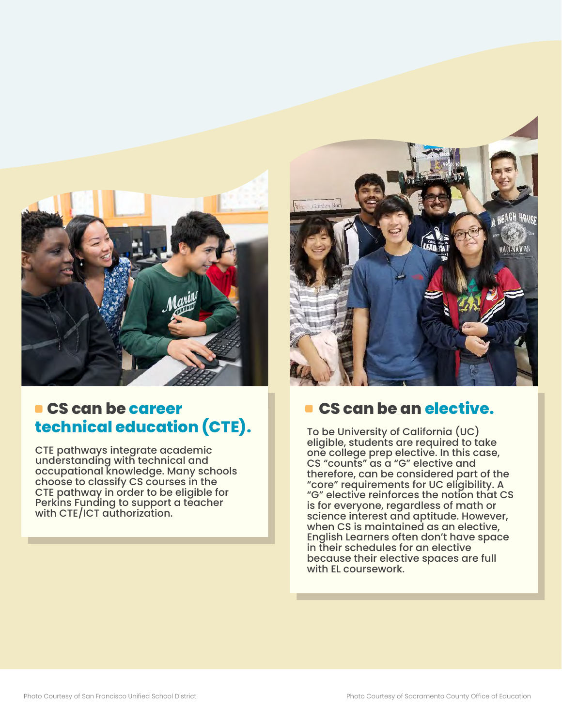

## **E** CS can be career technical education (CTE).

CTE pathways integrate academic understanding with technical and occupational knowledge. Many schools choose to classify CS courses in the CTE pathway in order to be eligible for Perkins Funding to support a teacher with CTE/ICT authorization.



### **CS can be an elective.**

To be University of California (UC) eligible, students are required to take one college prep elective. In this case, CS "counts" as a "G" elective and therefore, can be considered part of the "core" requirements for UC eligibility. A "G" elective reinforces the notion that CS is for everyone, regardless of math or science interest and aptitude. However, when CS is maintained as an elective, English Learners often don't have space in their schedules for an elective because their elective spaces are full with EL coursework.